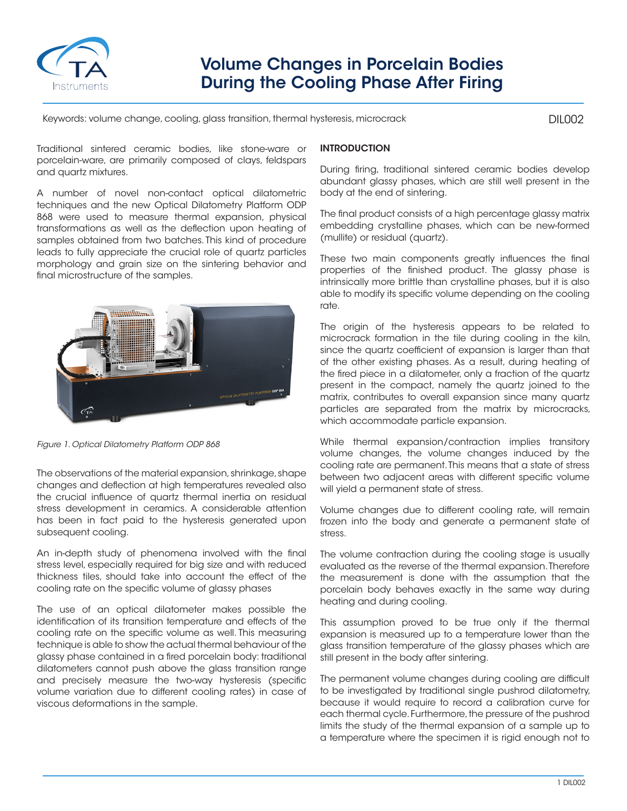

# Volume Changes in Porcelain Bodies During the Cooling Phase After Firing

Keywords: volume change, cooling, glass transition, thermal hysteresis, microcrack

DIL002

Traditional sintered ceramic bodies, like stone-ware or porcelain-ware, are primarily composed of clays, feldspars and quartz mixtures.

A number of novel non-contact optical dilatometric techniques and the new Optical Dilatometry Platform ODP 868 were used to measure thermal expansion, physical transformations as well as the deflection upon heating of samples obtained from two batches. This kind of procedure leads to fully appreciate the crucial role of quartz particles morphology and grain size on the sintering behavior and final microstructure of the samples.



*Figure 1. Optical Dilatometry Platform ODP 868*

The observations of the material expansion, shrinkage, shape changes and deflection at high temperatures revealed also the crucial influence of quartz thermal inertia on residual stress development in ceramics. A considerable attention has been in fact paid to the hysteresis generated upon subsequent cooling.

An in-depth study of phenomena involved with the final stress level, especially required for big size and with reduced thickness tiles, should take into account the effect of the cooling rate on the specific volume of glassy phases

The use of an optical dilatometer makes possible the identification of its transition temperature and effects of the cooling rate on the specific volume as well. This measuring technique is able to show the actual thermal behaviour of the glassy phase contained in a fired porcelain body: traditional dilatometers cannot push above the glass transition range and precisely measure the two-way hysteresis (specific volume variation due to different cooling rates) in case of viscous deformations in the sample.

## **INTRODUCTION**

During firing, traditional sintered ceramic bodies develop abundant glassy phases, which are still well present in the body at the end of sintering.

The final product consists of a high percentage glassy matrix embedding crystalline phases, which can be new-formed (mullite) or residual (quartz).

These two main components greatly influences the final properties of the finished product. The glassy phase is intrinsically more brittle than crystalline phases, but it is also able to modify its specific volume depending on the cooling rate.

The origin of the hysteresis appears to be related to microcrack formation in the tile during cooling in the kiln, since the quartz coefficient of expansion is larger than that of the other existing phases. As a result, during heating of the fired piece in a dilatometer, only a fraction of the quartz present in the compact, namely the quartz joined to the matrix, contributes to overall expansion since many quartz particles are separated from the matrix by microcracks, which accommodate particle expansion.

While thermal expansion/contraction implies transitory volume changes, the volume changes induced by the cooling rate are permanent. This means that a state of stress between two adjacent areas with different specific volume will yield a permanent state of stress.

Volume changes due to different cooling rate, will remain frozen into the body and generate a permanent state of stress.

The volume contraction during the cooling stage is usually evaluated as the reverse of the thermal expansion. Therefore the measurement is done with the assumption that the porcelain body behaves exactly in the same way during heating and during cooling.

This assumption proved to be true only if the thermal expansion is measured up to a temperature lower than the glass transition temperature of the glassy phases which are still present in the body after sintering.

The permanent volume changes during cooling are difficult to be investigated by traditional single pushrod dilatometry, because it would require to record a calibration curve for each thermal cycle. Furthermore, the pressure of the pushrod limits the study of the thermal expansion of a sample up to a temperature where the specimen it is rigid enough not to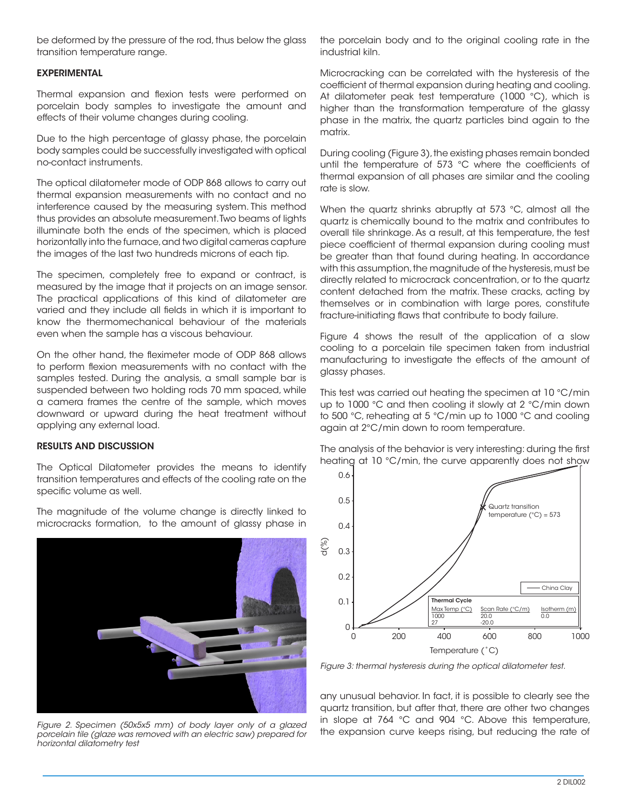be deformed by the pressure of the rod, thus below the glass transition temperature range.

### EXPERIMENTAL

Thermal expansion and flexion tests were performed on porcelain body samples to investigate the amount and effects of their volume changes during cooling.

Due to the high percentage of glassy phase, the porcelain body samples could be successfully investigated with optical no-contact instruments.

The optical dilatometer mode of ODP 868 allows to carry out thermal expansion measurements with no contact and no interference caused by the measuring system. This method thus provides an absolute measurement. Two beams of lights illuminate both the ends of the specimen, which is placed horizontally into the furnace, and two digital cameras capture the images of the last two hundreds microns of each tip.

The specimen, completely free to expand or contract, is measured by the image that it projects on an image sensor. The practical applications of this kind of dilatometer are varied and they include all fields in which it is important to know the thermomechanical behaviour of the materials even when the sample has a viscous behaviour.

On the other hand, the fleximeter mode of ODP 868 allows to perform flexion measurements with no contact with the samples tested. During the analysis, a small sample bar is suspended between two holding rods 70 mm spaced, while a camera frames the centre of the sample, which moves downward or upward during the heat treatment without applying any external load.

### RESULTS AND DISCUSSION

The Optical Dilatometer provides the means to identify transition temperatures and effects of the cooling rate on the specific volume as well.

The magnitude of the volume change is directly linked to microcracks formation, to the amount of glassy phase in



*Figure 2. Specimen (50x5x5 mm) of body layer only of a glazed porcelain tile (glaze was removed with an electric saw) prepared for horizontal dilatometry test*

the porcelain body and to the original cooling rate in the industrial kiln.

Microcracking can be correlated with the hysteresis of the coefficient of thermal expansion during heating and cooling. At dilatometer peak test temperature (1000 °C), which is higher than the transformation temperature of the glassy phase in the matrix, the quartz particles bind again to the matrix.

During cooling (Figure 3), the existing phases remain bonded until the temperature of 573 °C where the coefficients of thermal expansion of all phases are similar and the cooling rate is slow.

When the quartz shrinks abruptly at 573 °C, almost all the quartz is chemically bound to the matrix and contributes to overall tile shrinkage. As a result, at this temperature, the test piece coefficient of thermal expansion during cooling must be greater than that found during heating. In accordance with this assumption, the magnitude of the hysteresis, must be directly related to microcrack concentration, or to the quartz content detached from the matrix. These cracks, acting by themselves or in combination with large pores, constitute fracture-initiating flaws that contribute to body failure.

Figure 4 shows the result of the application of a slow cooling to a porcelain tile specimen taken from industrial manufacturing to investigate the effects of the amount of glassy phases.

This test was carried out heating the specimen at 10 °C/min up to 1000 °C and then cooling it slowly at 2 °C/min down to 500 °C, reheating at 5 °C/min up to 1000 °C and cooling again at 2°C/min down to room temperature.

The analysis of the behavior is very interesting: during the first heating at 10 °C/min, the curve apparently does not show



*Figure 3: thermal hysteresis during the optical dilatometer test.*

any unusual behavior. In fact, it is possible to clearly see the quartz transition, but after that, there are other two changes in slope at 764 °C and 904 °C. Above this temperature,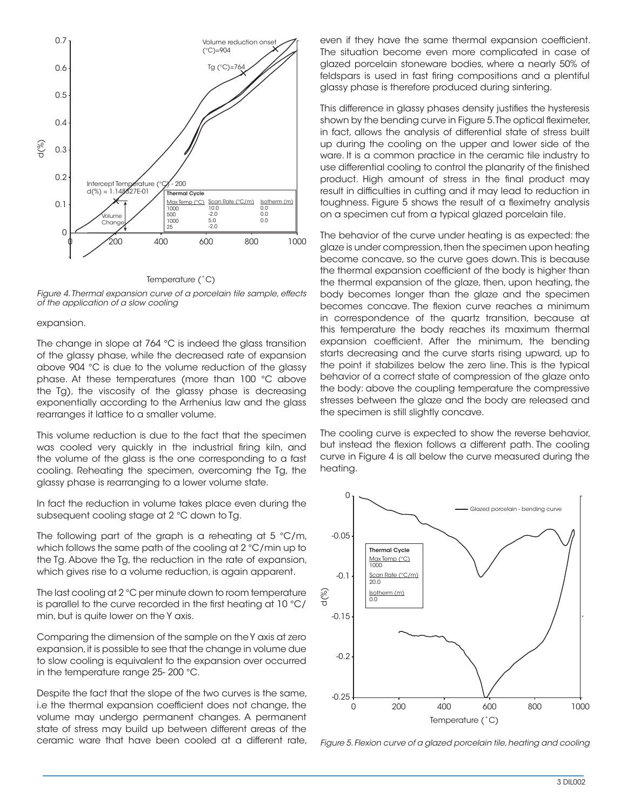

#### Temperature (˚C)

*Figure 4. Thermal expansion curve of a porcelain tile sample, effects of the application of a slow cooling*

#### expansion.

The change in slope at 764 °C is indeed the glass transition of the glassy phase, while the decreased rate of expansion above 904 °C is due to the volume reduction of the glassy phase. At these temperatures (more than 100 °C above the Tg), the viscosity of the glassy phase is decreasing exponentially according to the Arrhenius law and the glass rearranges it lattice to a smaller volume.

This volume reduction is due to the fact that the specimen was cooled very quickly in the industrial firing kiln, and the volume of the glass is the one corresponding to a fast cooling. Reheating the specimen, overcoming the Tg, the glassy phase is rearranging to a lower volume state.

In fact the reduction in volume takes place even during the subsequent cooling stage at 2 °C down to Tg.

The following part of the graph is a reheating at 5 °C/m, which follows the same path of the cooling at 2 °C/min up to the Tg. Above the Tg, the reduction in the rate of expansion, which gives rise to a volume reduction, is again apparent.

The last cooling at 2 °C per minute down to room temperature is parallel to the curve recorded in the first heating at 10 °C/ min, but is quite lower on the Y axis.

Comparing the dimension of the sample on the Y axis at zero expansion, it is possible to see that the change in volume due to slow cooling is equivalent to the expansion over occurred in the temperature range 25- 200 °C.

Despite the fact that the slope of the two curves is the same, i.e the thermal expansion coefficient does not change, the volume may undergo permanent changes. A permanent state of stress may build up between different areas of the ceramic ware that have been cooled at a different rate, even if they have the same thermal expansion coefficient. The situation become even more complicated in case of glazed porcelain stoneware bodies, where a nearly 50% of feldspars is used in fast firing compositions and a plentiful glassy phase is therefore produced during sintering.

This difference in glassy phases density justifies the hysteresis shown by the bending curve in Figure 5. The optical fleximeter, in fact, allows the analysis of differential state of stress built up during the cooling on the upper and lower side of the ware. It is a common practice in the ceramic tile industry to use differential cooling to control the planarity of the finished product. High amount of stress in the final product may result in difficulties in cutting and it may lead to reduction in toughness. Figure 5 shows the result of a fleximetry analysis on a specimen cut from a typical glazed porcelain tile.

The behavior of the curve under heating is as expected: the glaze is under compression, then the specimen upon heating become concave, so the curve goes down. This is because the thermal expansion coefficient of the body is higher than the thermal expansion of the glaze, then, upon heating, the body becomes longer than the glaze and the specimen becomes concave. The flexion curve reaches a minimum in correspondence of the quartz transition, because at this temperature the body reaches its maximum thermal expansion coefficient. After the minimum, the bending starts decreasing and the curve starts rising upward, up to the point it stabilizes below the zero line. This is the typical behavior of a correct state of compression of the glaze onto the body: above the coupling temperature the compressive stresses between the glaze and the body are released and the specimen is still slightly concave.

The cooling curve is expected to show the reverse behavior, but instead the flexion follows a different path. The cooling curve in Figure 4 is all below the curve measured during the heating.



*Figure 5. Flexion curve of a glazed porcelain tile, heating and cooling*